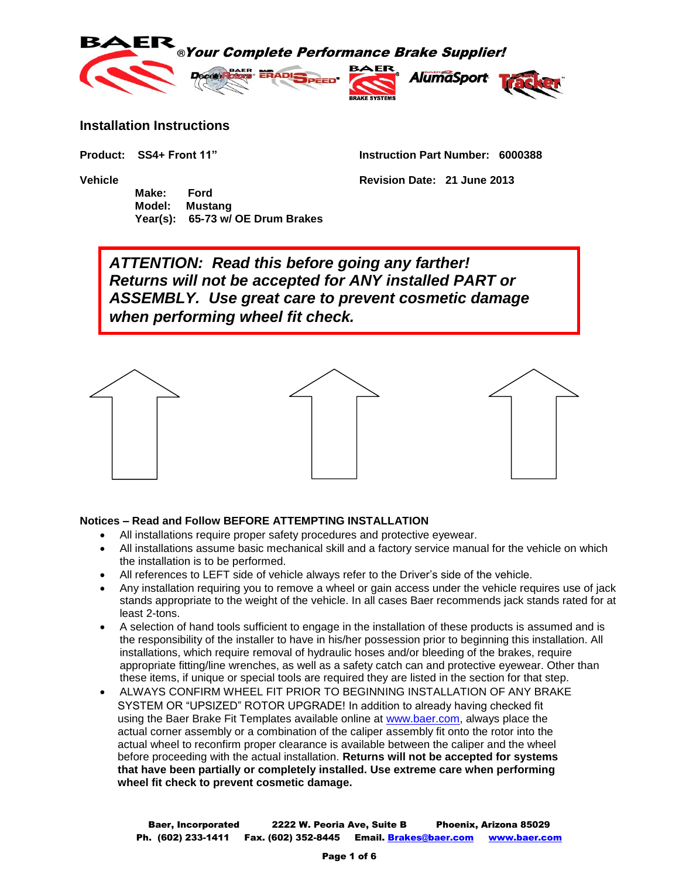

#### **Installation Instructions**

 **Make: Ford Model: Mustang Year(s): 65-73 w/ OE Drum Brakes**

**Product: SS4+ Front 11" Instruction Part Number: 6000388**

**Vehicle Revision Date: 21 June 2013**

*ATTENTION: Read this before going any farther! Returns will not be accepted for ANY installed PART or ASSEMBLY. Use great care to prevent cosmetic damage when performing wheel fit check.*



### **Notices – Read and Follow BEFORE ATTEMPTING INSTALLATION**

- All installations require proper safety procedures and protective eyewear.
- All installations assume basic mechanical skill and a factory service manual for the vehicle on which the installation is to be performed.
- All references to LEFT side of vehicle always refer to the Driver's side of the vehicle.
- Any installation requiring you to remove a wheel or gain access under the vehicle requires use of jack stands appropriate to the weight of the vehicle. In all cases Baer recommends jack stands rated for at least 2-tons.
- A selection of hand tools sufficient to engage in the installation of these products is assumed and is the responsibility of the installer to have in his/her possession prior to beginning this installation. All installations, which require removal of hydraulic hoses and/or bleeding of the brakes, require appropriate fitting/line wrenches, as well as a safety catch can and protective eyewear. Other than these items, if unique or special tools are required they are listed in the section for that step.
- ALWAYS CONFIRM WHEEL FIT PRIOR TO BEGINNING INSTALLATION OF ANY BRAKE SYSTEM OR "UPSIZED" ROTOR UPGRADE! In addition to already having checked fit using the Baer Brake Fit Templates available online at [www.baer.com,](http://www.baer.com/) always place the actual corner assembly or a combination of the caliper assembly fit onto the rotor into the actual wheel to reconfirm proper clearance is available between the caliper and the wheel before proceeding with the actual installation. **Returns will not be accepted for systems that have been partially or completely installed. Use extreme care when performing wheel fit check to prevent cosmetic damage.**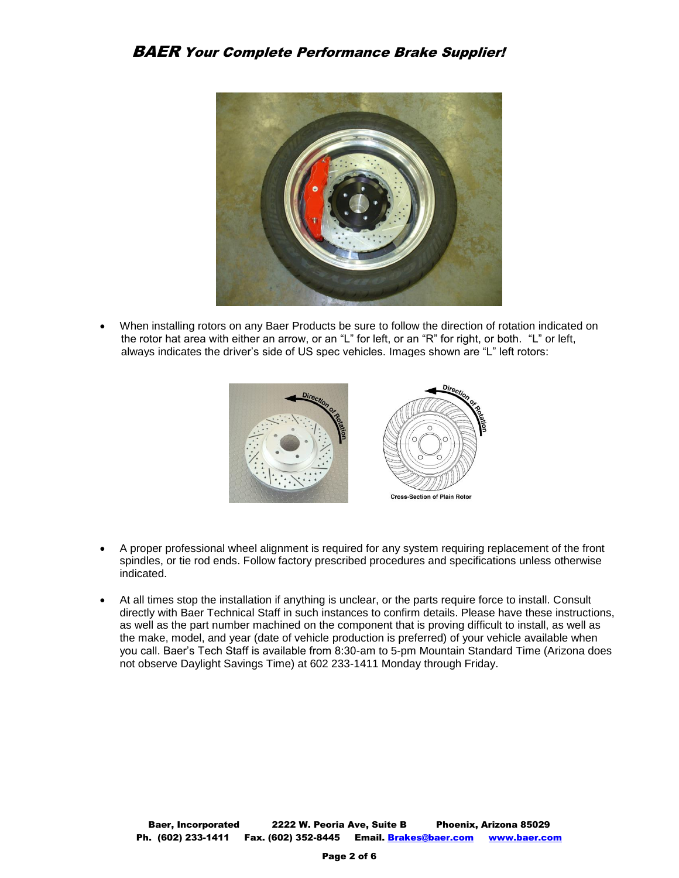

 When installing rotors on any Baer Products be sure to follow the direction of rotation indicated on the rotor hat area with either an arrow, or an "L" for left, or an "R" for right, or both. "L" or left, always indicates the driver's side of US spec vehicles. Images shown are "L" left rotors:



- A proper professional wheel alignment is required for any system requiring replacement of the front spindles, or tie rod ends. Follow factory prescribed procedures and specifications unless otherwise indicated.
- At all times stop the installation if anything is unclear, or the parts require force to install. Consult directly with Baer Technical Staff in such instances to confirm details. Please have these instructions, as well as the part number machined on the component that is proving difficult to install, as well as the make, model, and year (date of vehicle production is preferred) of your vehicle available when you call. Baer's Tech Staff is available from 8:30-am to 5-pm Mountain Standard Time (Arizona does not observe Daylight Savings Time) at 602 233-1411 Monday through Friday.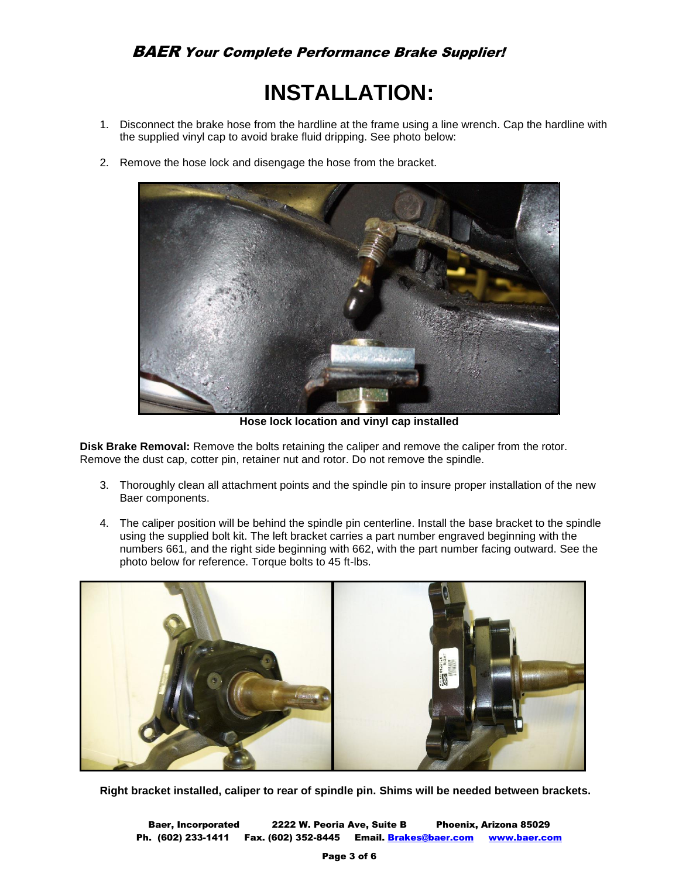# **INSTALLATION:**

- 1. Disconnect the brake hose from the hardline at the frame using a line wrench. Cap the hardline with the supplied vinyl cap to avoid brake fluid dripping. See photo below:
- 2. Remove the hose lock and disengage the hose from the bracket.



**Hose lock location and vinyl cap installed**

**Disk Brake Removal:** Remove the bolts retaining the caliper and remove the caliper from the rotor. Remove the dust cap, cotter pin, retainer nut and rotor. Do not remove the spindle.

- 3. Thoroughly clean all attachment points and the spindle pin to insure proper installation of the new Baer components.
- 4. The caliper position will be behind the spindle pin centerline. Install the base bracket to the spindle using the supplied bolt kit. The left bracket carries a part number engraved beginning with the numbers 661, and the right side beginning with 662, with the part number facing outward. See the photo below for reference. Torque bolts to 45 ft-lbs.



**Right bracket installed, caliper to rear of spindle pin. Shims will be needed between brackets.**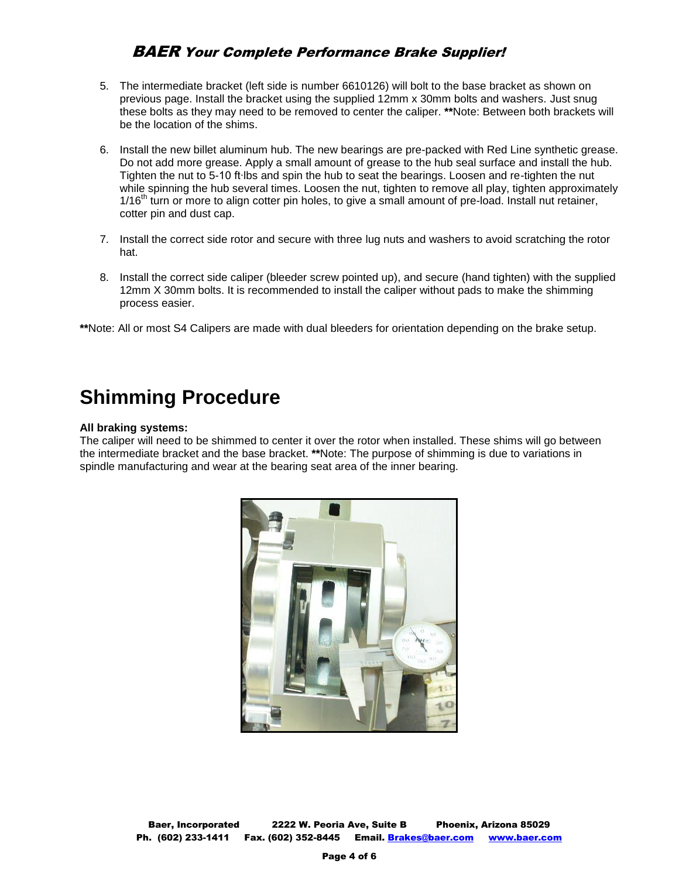## BAER Your Complete Performance Brake Supplier!

- 5. The intermediate bracket (left side is number 6610126) will bolt to the base bracket as shown on previous page. Install the bracket using the supplied 12mm x 30mm bolts and washers. Just snug these bolts as they may need to be removed to center the caliper. **\*\***Note: Between both brackets will be the location of the shims.
- 6. Install the new billet aluminum hub. The new bearings are pre-packed with Red Line synthetic grease. Do not add more grease. Apply a small amount of grease to the hub seal surface and install the hub. Tighten the nut to 5-10 ft∙lbs and spin the hub to seat the bearings. Loosen and re-tighten the nut while spinning the hub several times. Loosen the nut, tighten to remove all play, tighten approximately 1/16<sup>th</sup> turn or more to align cotter pin holes, to give a small amount of pre-load. Install nut retainer, cotter pin and dust cap.
- 7. Install the correct side rotor and secure with three lug nuts and washers to avoid scratching the rotor hat.
- 8. Install the correct side caliper (bleeder screw pointed up), and secure (hand tighten) with the supplied 12mm X 30mm bolts. It is recommended to install the caliper without pads to make the shimming process easier.

**\*\***Note: All or most S4 Calipers are made with dual bleeders for orientation depending on the brake setup.

# **Shimming Procedure**

#### **All braking systems:**

The caliper will need to be shimmed to center it over the rotor when installed. These shims will go between the intermediate bracket and the base bracket. **\*\***Note: The purpose of shimming is due to variations in spindle manufacturing and wear at the bearing seat area of the inner bearing.

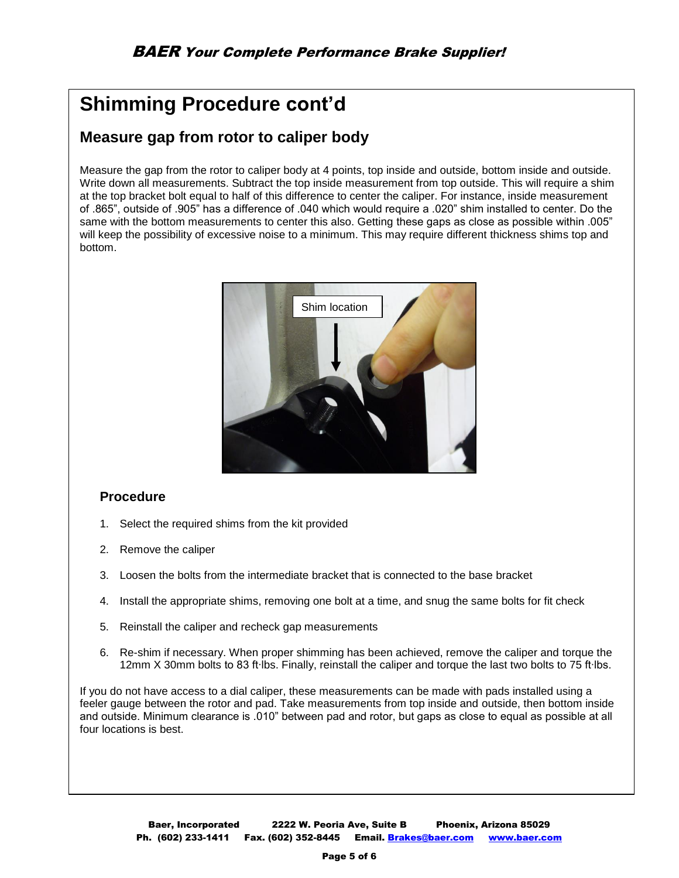# **Shimming Procedure cont'd**

# **Measure gap from rotor to caliper body**

Measure the gap from the rotor to caliper body at 4 points, top inside and outside, bottom inside and outside. Write down all measurements. Subtract the top inside measurement from top outside. This will require a shim at the top bracket bolt equal to half of this difference to center the caliper. For instance, inside measurement of .865", outside of .905" has a difference of .040 which would require a .020" shim installed to center. Do the same with the bottom measurements to center this also. Getting these gaps as close as possible within .005" will keep the possibility of excessive noise to a minimum. This may require different thickness shims top and bottom.



### **Procedure**

- 1. Select the required shims from the kit provided
- 2. Remove the caliper
- 3. Loosen the bolts from the intermediate bracket that is connected to the base bracket
- 4. Install the appropriate shims, removing one bolt at a time, and snug the same bolts for fit check
- 5. Reinstall the caliper and recheck gap measurements
- 6. Re-shim if necessary. When proper shimming has been achieved, remove the caliper and torque the 12mm X 30mm bolts to 83 ft∙lbs. Finally, reinstall the caliper and torque the last two bolts to 75 ft∙lbs.

If you do not have access to a dial caliper, these measurements can be made with pads installed using a feeler gauge between the rotor and pad. Take measurements from top inside and outside, then bottom inside and outside. Minimum clearance is .010" between pad and rotor, but gaps as close to equal as possible at all four locations is best.